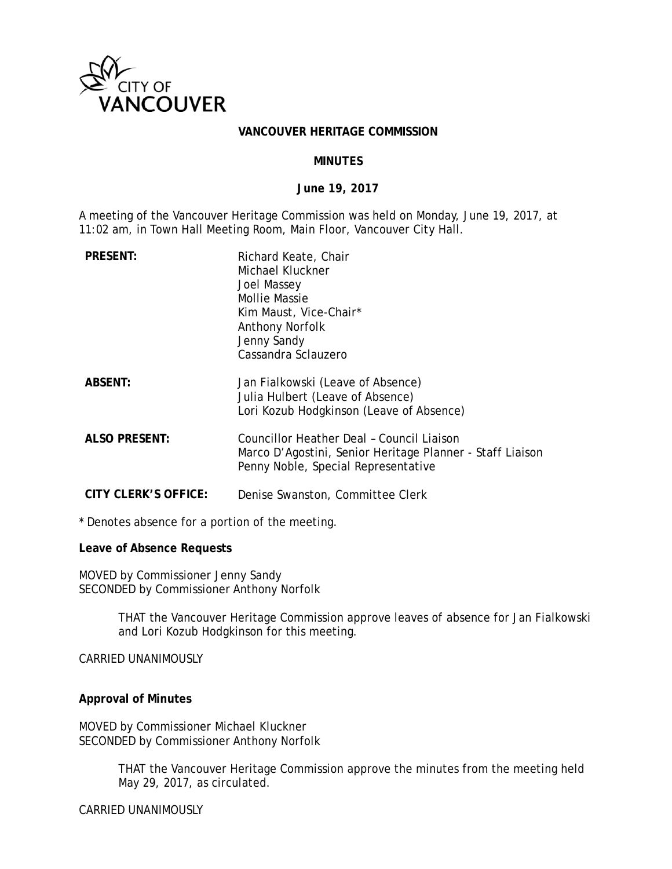

#### **VANCOUVER HERITAGE COMMISSION**

#### **MINUTES**

#### **June 19, 2017**

A meeting of the Vancouver Heritage Commission was held on Monday, June 19, 2017, at 11:02 am, in Town Hall Meeting Room, Main Floor, Vancouver City Hall.

| <b>PRESENT:</b>      | Richard Keate, Chair<br>Michael Kluckner<br>Joel Massey<br><b>Mollie Massie</b><br>Kim Maust, Vice-Chair*<br><b>Anthony Norfolk</b><br>Jenny Sandy<br>Cassandra Sclauzero |
|----------------------|---------------------------------------------------------------------------------------------------------------------------------------------------------------------------|
| <b>ABSENT:</b>       | Jan Fialkowski (Leave of Absence)<br>Julia Hulbert (Leave of Absence)<br>Lori Kozub Hodgkinson (Leave of Absence)                                                         |
| <b>ALSO PRESENT:</b> | Councillor Heather Deal - Council Liaison<br>Marco D'Agostini, Senior Heritage Planner - Staff Liaison<br>Penny Noble, Special Representative                             |
| CITY CLERK'S OFFICE: | Denise Swanston, Committee Clerk                                                                                                                                          |

\* Denotes absence for a portion of the meeting.

### **Leave of Absence Requests**

MOVED by Commissioner Jenny Sandy SECONDED by Commissioner Anthony Norfolk

> THAT the Vancouver Heritage Commission approve leaves of absence for Jan Fialkowski and Lori Kozub Hodgkinson for this meeting.

CARRIED UNANIMOUSLY

### **Approval of Minutes**

MOVED by Commissioner Michael Kluckner SECONDED by Commissioner Anthony Norfolk

> THAT the Vancouver Heritage Commission approve the minutes from the meeting held May 29, 2017, as circulated.

CARRIED UNANIMOUSLY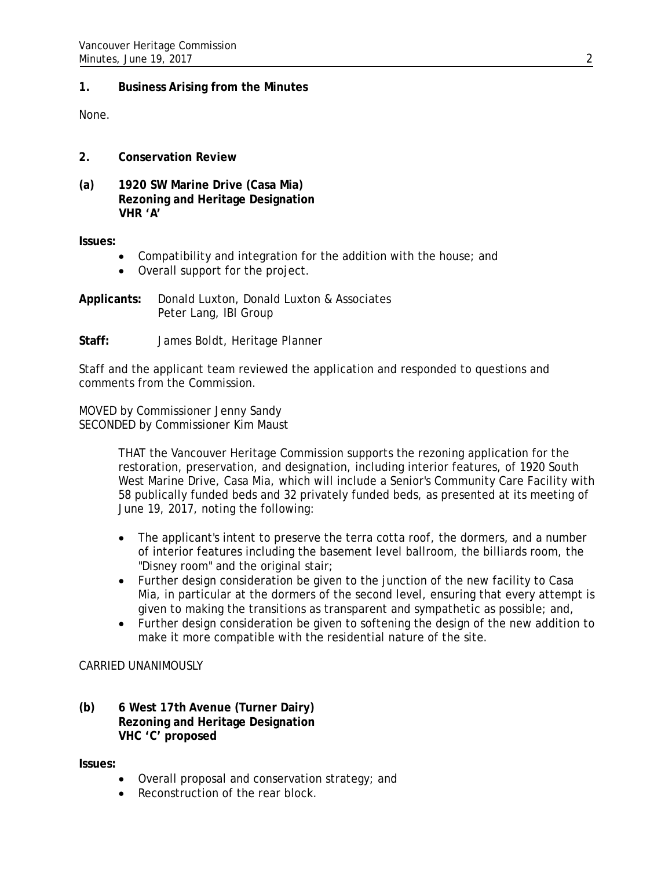# **1. Business Arising from the Minutes**

None.

- **2. Conservation Review**
- **(a) 1920 SW Marine Drive (Casa Mia) Rezoning and Heritage Designation VHR 'A'**

**Issues:** 

- Compatibility and integration for the addition with the house; and
- Overall support for the project.
- **Applicants:** Donald Luxton, Donald Luxton & Associates Peter Lang, IBI Group
- **Staff:** James Boldt, Heritage Planner

Staff and the applicant team reviewed the application and responded to questions and comments from the Commission.

MOVED by Commissioner Jenny Sandy SECONDED by Commissioner Kim Maust

> THAT the Vancouver Heritage Commission supports the rezoning application for the restoration, preservation, and designation, including interior features, of 1920 South West Marine Drive, Casa Mia, which will include a Senior's Community Care Facility with 58 publically funded beds and 32 privately funded beds, as presented at its meeting of June 19, 2017, noting the following:

- The applicant's intent to preserve the terra cotta roof, the dormers, and a number of interior features including the basement level ballroom, the billiards room, the "Disney room" and the original stair;
- Further design consideration be given to the junction of the new facility to Casa Mia, in particular at the dormers of the second level, ensuring that every attempt is given to making the transitions as transparent and sympathetic as possible; and,
- Further design consideration be given to softening the design of the new addition to make it more compatible with the residential nature of the site.

CARRIED UNANIMOUSLY

**(b) 6 West 17th Avenue (Turner Dairy) Rezoning and Heritage Designation VHC 'C' proposed**

**Issues:**

- Overall proposal and conservation strategy; and
- Reconstruction of the rear block.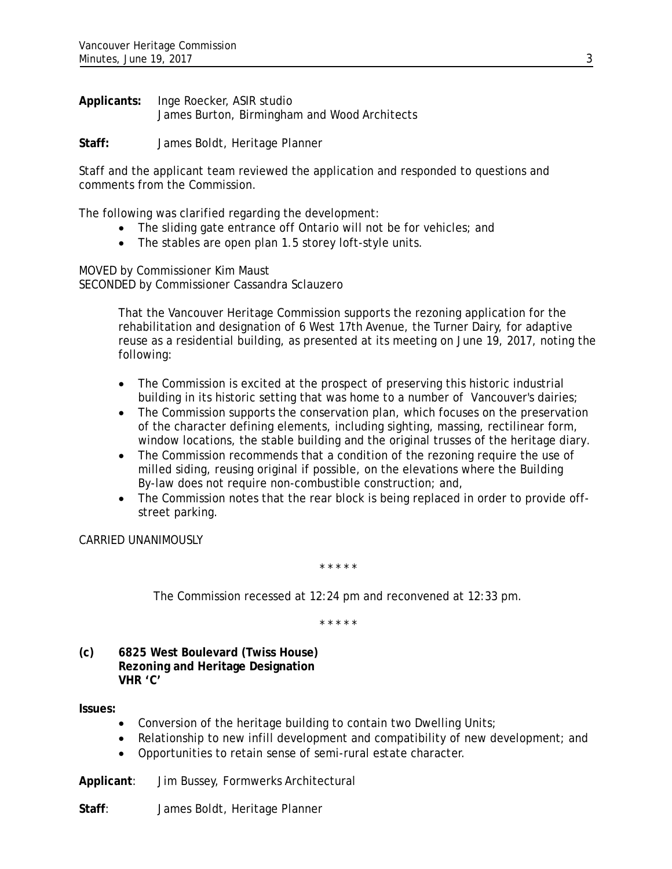**Applicants:** Inge Roecker, ASIR studio

James Burton, Birmingham and Wood Architects

**Staff:** James Boldt, Heritage Planner

Staff and the applicant team reviewed the application and responded to questions and comments from the Commission.

The following was clarified regarding the development:

- The sliding gate entrance off Ontario will not be for vehicles; and
- The stables are open plan 1.5 storey loft-style units.

MOVED by Commissioner Kim Maust SECONDED by Commissioner Cassandra Sclauzero

> That the Vancouver Heritage Commission supports the rezoning application for the rehabilitation and designation of 6 West 17th Avenue, the Turner Dairy, for adaptive reuse as a residential building, as presented at its meeting on June 19, 2017, noting the following:

- The Commission is excited at the prospect of preserving this historic industrial building in its historic setting that was home to a number of Vancouver's dairies;
- The Commission supports the conservation plan, which focuses on the preservation of the character defining elements, including sighting, massing, rectilinear form, window locations, the stable building and the original trusses of the heritage diary.
- The Commission recommends that a condition of the rezoning require the use of milled siding, reusing original if possible, on the elevations where the Building By-law does not require non-combustible construction; and,
- The Commission notes that the rear block is being replaced in order to provide offstreet parking.

CARRIED UNANIMOUSLY

\* \* \* \* \*

The Commission recessed at 12:24 pm and reconvened at 12:33 pm.

\* \* \* \* \*

**(c) 6825 West Boulevard (Twiss House) Rezoning and Heritage Designation VHR 'C'** 

**Issues:** 

- Conversion of the heritage building to contain two Dwelling Units;
- Relationship to new infill development and compatibility of new development; and
- Opportunities to retain sense of semi-rural estate character.

**Applicant**: Jim Bussey, Formwerks Architectural

**Staff**: James Boldt, Heritage Planner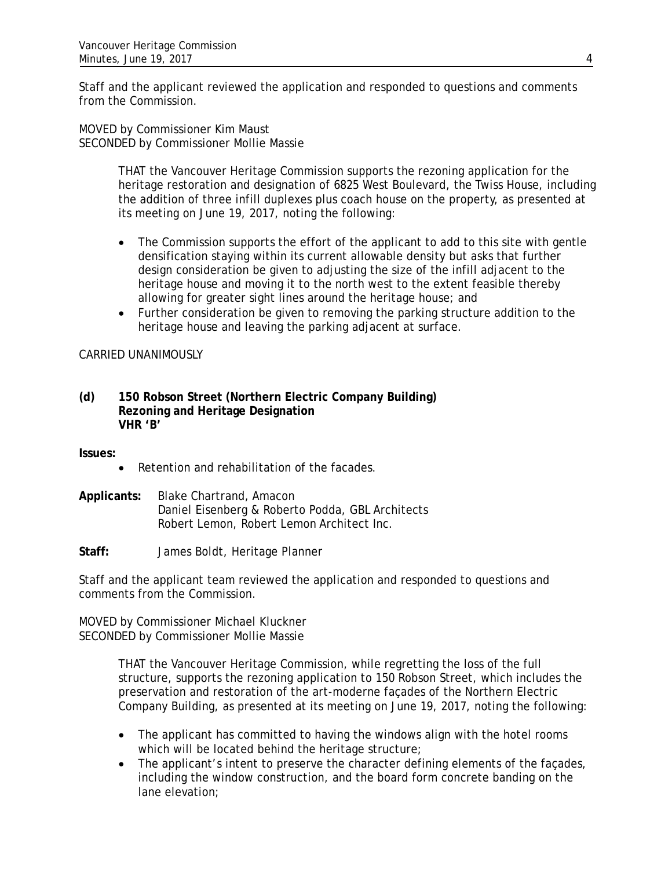Staff and the applicant reviewed the application and responded to questions and comments from the Commission.

MOVED by Commissioner Kim Maust SECONDED by Commissioner Mollie Massie

> THAT the Vancouver Heritage Commission supports the rezoning application for the heritage restoration and designation of 6825 West Boulevard, the Twiss House, including the addition of three infill duplexes plus coach house on the property, as presented at its meeting on June 19, 2017, noting the following:

- The Commission supports the effort of the applicant to add to this site with gentle densification staying within its current allowable density but asks that further design consideration be given to adjusting the size of the infill adjacent to the heritage house and moving it to the north west to the extent feasible thereby allowing for greater sight lines around the heritage house; and
- Further consideration be given to removing the parking structure addition to the heritage house and leaving the parking adjacent at surface.

### CARRIED UNANIMOUSLY

**(d) 150 Robson Street (Northern Electric Company Building) Rezoning and Heritage Designation VHR 'B'** 

**Issues:** 

- Retention and rehabilitation of the facades.
- **Applicants:** Blake Chartrand, Amacon Daniel Eisenberg & Roberto Podda, GBL Architects Robert Lemon, Robert Lemon Architect Inc.

**Staff:** James Boldt, Heritage Planner

Staff and the applicant team reviewed the application and responded to questions and comments from the Commission.

MOVED by Commissioner Michael Kluckner SECONDED by Commissioner Mollie Massie

> THAT the Vancouver Heritage Commission, while regretting the loss of the full structure, supports the rezoning application to 150 Robson Street, which includes the preservation and restoration of the art-moderne façades of the Northern Electric Company Building, as presented at its meeting on June 19, 2017, noting the following:

- The applicant has committed to having the windows align with the hotel rooms which will be located behind the heritage structure;
- The applicant's intent to preserve the character defining elements of the façades, including the window construction, and the board form concrete banding on the lane elevation;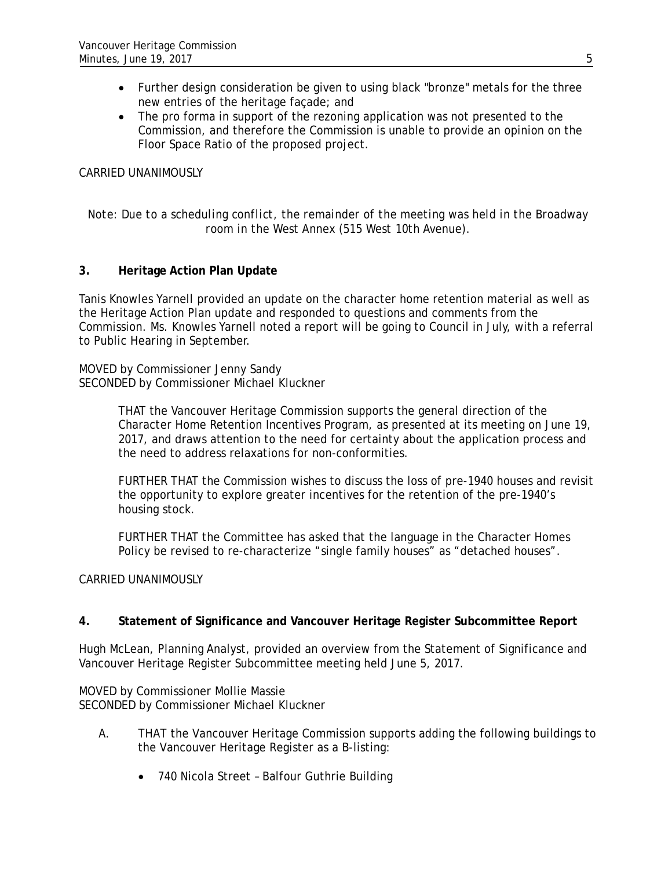- Further design consideration be given to using black "bronze" metals for the three new entries of the heritage façade; and
- The pro forma in support of the rezoning application was not presented to the Commission, and therefore the Commission is unable to provide an opinion on the Floor Space Ratio of the proposed project.

## CARRIED UNANIMOUSLY

*Note: Due to a scheduling conflict, the remainder of the meeting was held in the Broadway room in the West Annex (515 West 10th Avenue).* 

### **3. Heritage Action Plan Update**

Tanis Knowles Yarnell provided an update on the character home retention material as well as the Heritage Action Plan update and responded to questions and comments from the Commission. Ms. Knowles Yarnell noted a report will be going to Council in July, with a referral to Public Hearing in September.

MOVED by Commissioner Jenny Sandy SECONDED by Commissioner Michael Kluckner

> THAT the Vancouver Heritage Commission supports the general direction of the Character Home Retention Incentives Program, as presented at its meeting on June 19, 2017, and draws attention to the need for certainty about the application process and the need to address relaxations for non-conformities.

> FURTHER THAT the Commission wishes to discuss the loss of pre-1940 houses and revisit the opportunity to explore greater incentives for the retention of the pre-1940's housing stock.

FURTHER THAT the Committee has asked that the language in the Character Homes Policy be revised to re-characterize "single family houses" as "detached houses".

### CARRIED UNANIMOUSLY

### **4. Statement of Significance and Vancouver Heritage Register Subcommittee Report**

Hugh McLean, Planning Analyst, provided an overview from the Statement of Significance and Vancouver Heritage Register Subcommittee meeting held June 5, 2017.

MOVED by Commissioner Mollie Massie SECONDED by Commissioner Michael Kluckner

- A. THAT the Vancouver Heritage Commission supports adding the following buildings to the Vancouver Heritage Register as a B-listing:
	- 740 Nicola Street Balfour Guthrie Building